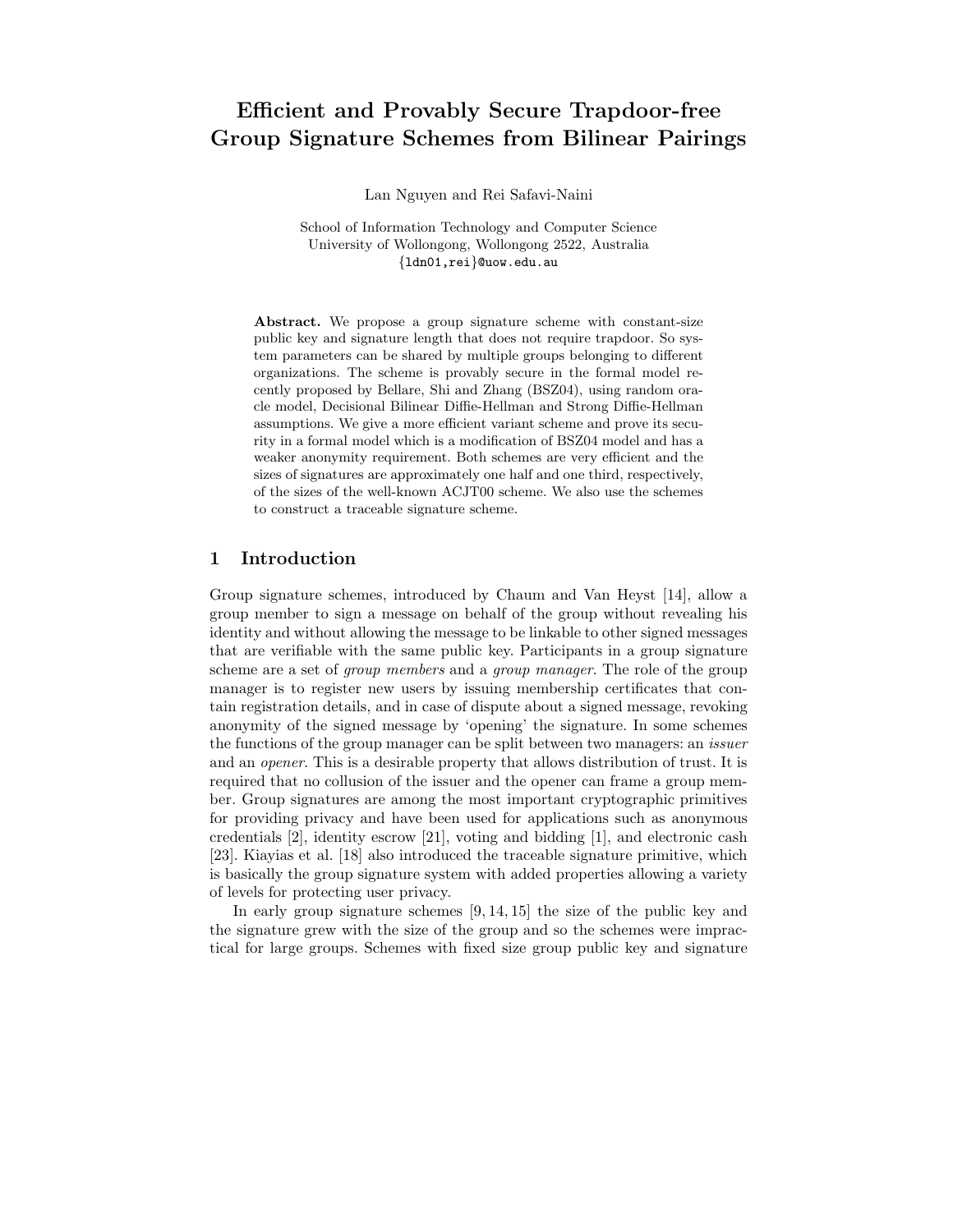# Efficient and Provably Secure Trapdoor-free Group Signature Schemes from Bilinear Pairings

Lan Nguyen and Rei Safavi-Naini

School of Information Technology and Computer Science University of Wollongong, Wollongong 2522, Australia {ldn01,rei}@uow.edu.au

Abstract. We propose a group signature scheme with constant-size public key and signature length that does not require trapdoor. So system parameters can be shared by multiple groups belonging to different organizations. The scheme is provably secure in the formal model recently proposed by Bellare, Shi and Zhang (BSZ04), using random oracle model, Decisional Bilinear Diffie-Hellman and Strong Diffie-Hellman assumptions. We give a more efficient variant scheme and prove its security in a formal model which is a modification of BSZ04 model and has a weaker anonymity requirement. Both schemes are very efficient and the sizes of signatures are approximately one half and one third, respectively, of the sizes of the well-known ACJT00 scheme. We also use the schemes to construct a traceable signature scheme.

## 1 Introduction

Group signature schemes, introduced by Chaum and Van Heyst [14], allow a group member to sign a message on behalf of the group without revealing his identity and without allowing the message to be linkable to other signed messages that are verifiable with the same public key. Participants in a group signature scheme are a set of *group members* and a *group manager*. The role of the group manager is to register new users by issuing membership certificates that contain registration details, and in case of dispute about a signed message, revoking anonymity of the signed message by 'opening' the signature. In some schemes the functions of the group manager can be split between two managers: an issuer and an opener. This is a desirable property that allows distribution of trust. It is required that no collusion of the issuer and the opener can frame a group member. Group signatures are among the most important cryptographic primitives for providing privacy and have been used for applications such as anonymous credentials [2], identity escrow [21], voting and bidding [1], and electronic cash [23]. Kiayias et al. [18] also introduced the traceable signature primitive, which is basically the group signature system with added properties allowing a variety of levels for protecting user privacy.

In early group signature schemes [9, 14, 15] the size of the public key and the signature grew with the size of the group and so the schemes were impractical for large groups. Schemes with fixed size group public key and signature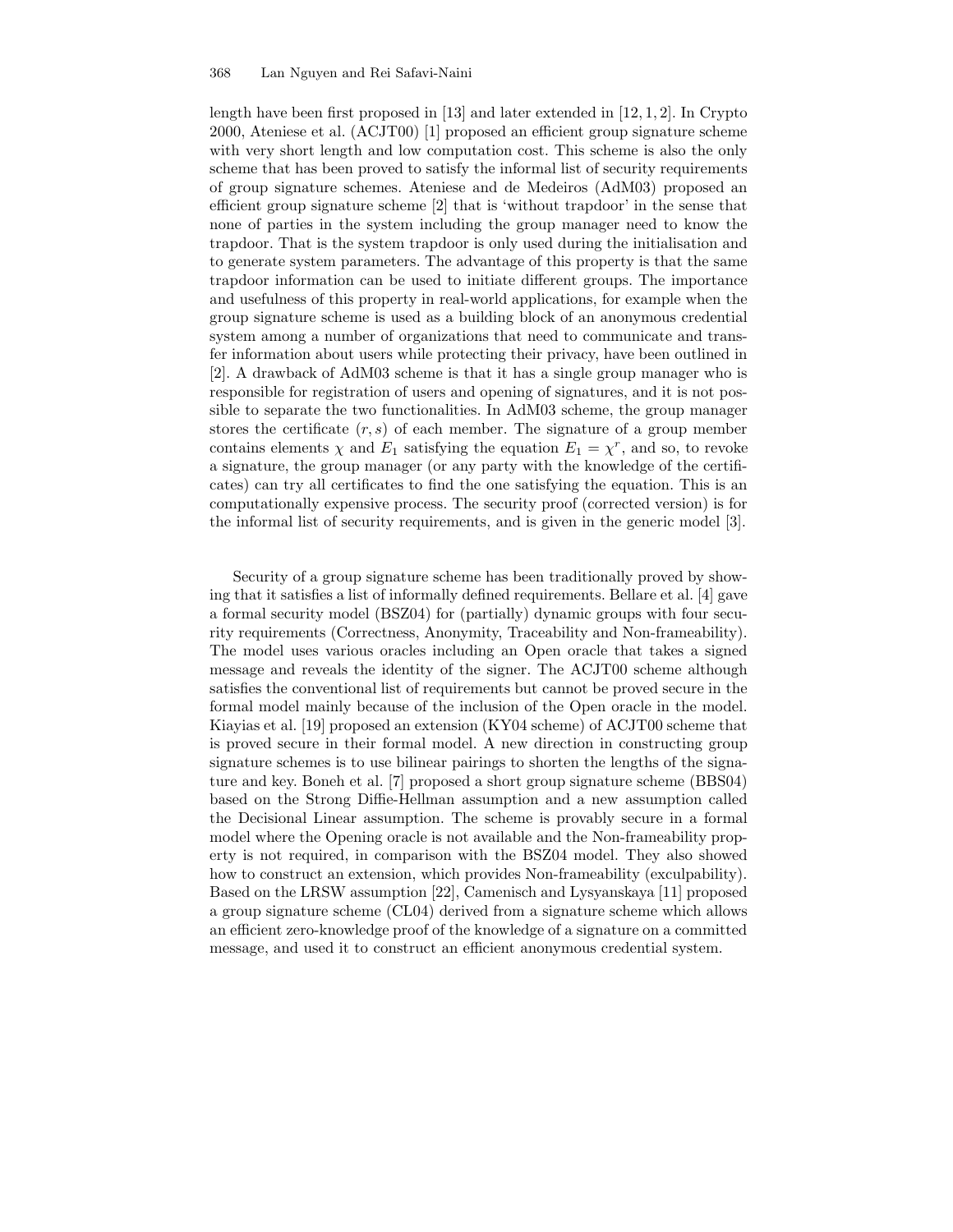length have been first proposed in [13] and later extended in [12, 1, 2]. In Crypto 2000, Ateniese et al. (ACJT00) [1] proposed an efficient group signature scheme with very short length and low computation cost. This scheme is also the only scheme that has been proved to satisfy the informal list of security requirements of group signature schemes. Ateniese and de Medeiros (AdM03) proposed an efficient group signature scheme [2] that is 'without trapdoor' in the sense that none of parties in the system including the group manager need to know the trapdoor. That is the system trapdoor is only used during the initialisation and to generate system parameters. The advantage of this property is that the same trapdoor information can be used to initiate different groups. The importance and usefulness of this property in real-world applications, for example when the group signature scheme is used as a building block of an anonymous credential system among a number of organizations that need to communicate and transfer information about users while protecting their privacy, have been outlined in [2]. A drawback of AdM03 scheme is that it has a single group manager who is responsible for registration of users and opening of signatures, and it is not possible to separate the two functionalities. In AdM03 scheme, the group manager stores the certificate  $(r, s)$  of each member. The signature of a group member contains elements  $\chi$  and  $E_1$  satisfying the equation  $E_1 = \chi^r$ , and so, to revoke a signature, the group manager (or any party with the knowledge of the certificates) can try all certificates to find the one satisfying the equation. This is an computationally expensive process. The security proof (corrected version) is for the informal list of security requirements, and is given in the generic model [3].

Security of a group signature scheme has been traditionally proved by showing that it satisfies a list of informally defined requirements. Bellare et al. [4] gave a formal security model (BSZ04) for (partially) dynamic groups with four security requirements (Correctness, Anonymity, Traceability and Non-frameability). The model uses various oracles including an Open oracle that takes a signed message and reveals the identity of the signer. The ACJT00 scheme although satisfies the conventional list of requirements but cannot be proved secure in the formal model mainly because of the inclusion of the Open oracle in the model. Kiayias et al. [19] proposed an extension (KY04 scheme) of ACJT00 scheme that is proved secure in their formal model. A new direction in constructing group signature schemes is to use bilinear pairings to shorten the lengths of the signature and key. Boneh et al. [7] proposed a short group signature scheme (BBS04) based on the Strong Diffie-Hellman assumption and a new assumption called the Decisional Linear assumption. The scheme is provably secure in a formal model where the Opening oracle is not available and the Non-frameability property is not required, in comparison with the BSZ04 model. They also showed how to construct an extension, which provides Non-frameability (exculpability). Based on the LRSW assumption [22], Camenisch and Lysyanskaya [11] proposed a group signature scheme (CL04) derived from a signature scheme which allows an efficient zero-knowledge proof of the knowledge of a signature on a committed message, and used it to construct an efficient anonymous credential system.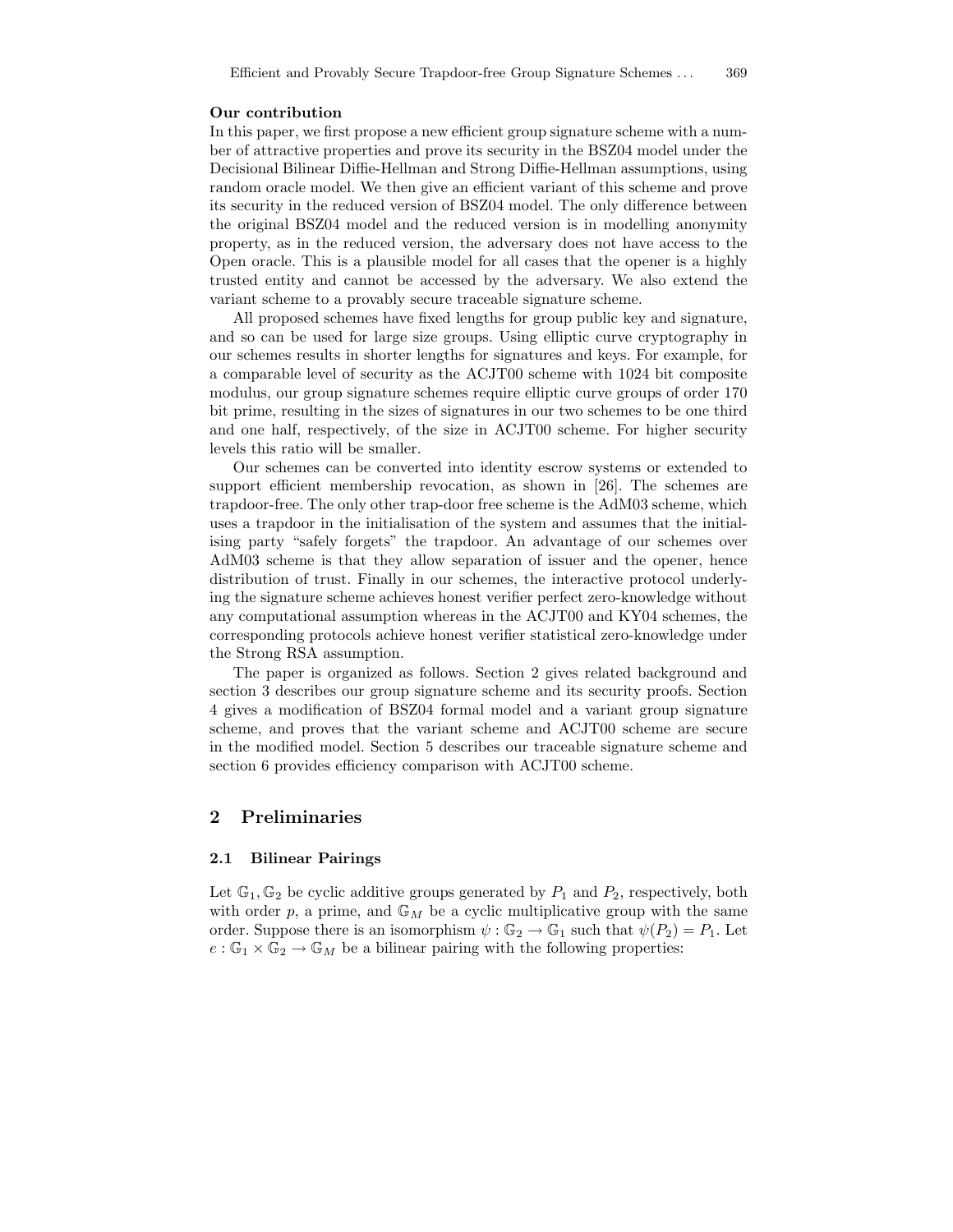## Our contribution

In this paper, we first propose a new efficient group signature scheme with a number of attractive properties and prove its security in the BSZ04 model under the Decisional Bilinear Diffie-Hellman and Strong Diffie-Hellman assumptions, using random oracle model. We then give an efficient variant of this scheme and prove its security in the reduced version of BSZ04 model. The only difference between the original BSZ04 model and the reduced version is in modelling anonymity property, as in the reduced version, the adversary does not have access to the Open oracle. This is a plausible model for all cases that the opener is a highly trusted entity and cannot be accessed by the adversary. We also extend the variant scheme to a provably secure traceable signature scheme.

All proposed schemes have fixed lengths for group public key and signature, and so can be used for large size groups. Using elliptic curve cryptography in our schemes results in shorter lengths for signatures and keys. For example, for a comparable level of security as the ACJT00 scheme with 1024 bit composite modulus, our group signature schemes require elliptic curve groups of order 170 bit prime, resulting in the sizes of signatures in our two schemes to be one third and one half, respectively, of the size in ACJT00 scheme. For higher security levels this ratio will be smaller.

Our schemes can be converted into identity escrow systems or extended to support efficient membership revocation, as shown in [26]. The schemes are trapdoor-free. The only other trap-door free scheme is the AdM03 scheme, which uses a trapdoor in the initialisation of the system and assumes that the initialising party "safely forgets" the trapdoor. An advantage of our schemes over AdM03 scheme is that they allow separation of issuer and the opener, hence distribution of trust. Finally in our schemes, the interactive protocol underlying the signature scheme achieves honest verifier perfect zero-knowledge without any computational assumption whereas in the ACJT00 and KY04 schemes, the corresponding protocols achieve honest verifier statistical zero-knowledge under the Strong RSA assumption.

The paper is organized as follows. Section 2 gives related background and section 3 describes our group signature scheme and its security proofs. Section 4 gives a modification of BSZ04 formal model and a variant group signature scheme, and proves that the variant scheme and ACJT00 scheme are secure in the modified model. Section 5 describes our traceable signature scheme and section 6 provides efficiency comparison with ACJT00 scheme.

# 2 Preliminaries

#### 2.1 Bilinear Pairings

Let  $\mathbb{G}_1, \mathbb{G}_2$  be cyclic additive groups generated by  $P_1$  and  $P_2$ , respectively, both with order  $p$ , a prime, and  $\mathbb{G}_M$  be a cyclic multiplicative group with the same order. Suppose there is an isomorphism  $\psi : \mathbb{G}_2 \to \mathbb{G}_1$  such that  $\psi(P_2) = P_1$ . Let  $e : \mathbb{G}_1 \times \mathbb{G}_2 \to \mathbb{G}_M$  be a bilinear pairing with the following properties: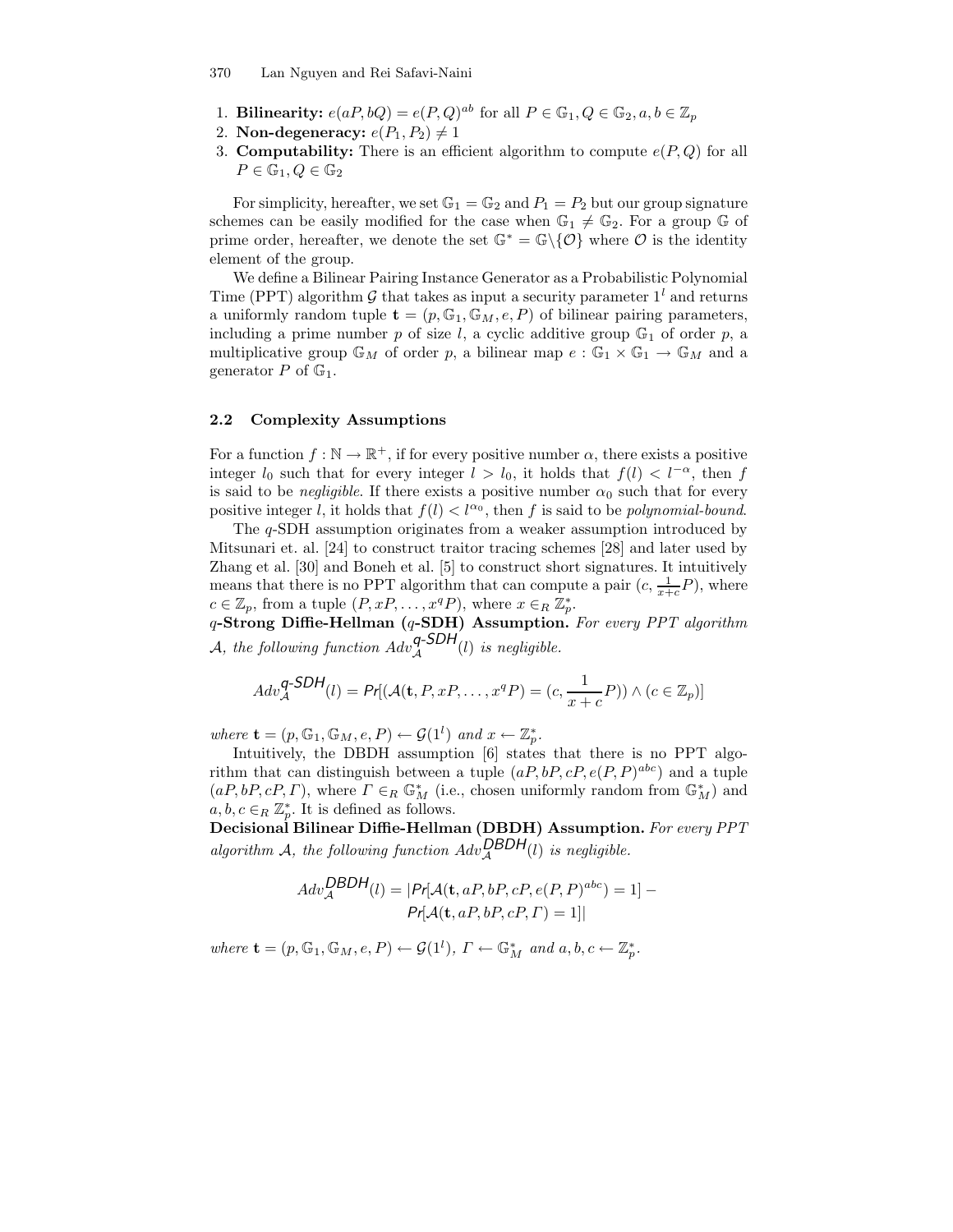- 1. **Bilinearity:**  $e(aP, bQ) = e(P, Q)^{ab}$  for all  $P \in \mathbb{G}_1, Q \in \mathbb{G}_2, a, b \in \mathbb{Z}_p$
- 2. Non-degeneracy:  $e(P_1, P_2) \neq 1$
- 3. **Computability:** There is an efficient algorithm to compute  $e(P,Q)$  for all  $P \in \mathbb{G}_1, Q \in \mathbb{G}_2$

For simplicity, hereafter, we set  $\mathbb{G}_1 = \mathbb{G}_2$  and  $P_1 = P_2$  but our group signature schemes can be easily modified for the case when  $\mathbb{G}_1 \neq \mathbb{G}_2$ . For a group G of prime order, hereafter, we denote the set  $\mathbb{G}^* = \mathbb{G}\backslash\{\mathcal{O}\}\$  where  $\mathcal O$  is the identity element of the group.

We define a Bilinear Pairing Instance Generator as a Probabilistic Polynomial Time (PPT) algorithm  $\mathcal G$  that takes as input a security parameter  $1^l$  and returns a uniformly random tuple  $\mathbf{t} = (p, \mathbb{G}_1, \mathbb{G}_M, e, P)$  of bilinear pairing parameters, including a prime number p of size l, a cyclic additive group  $\mathbb{G}_1$  of order p, a multiplicative group  $\mathbb{G}_M$  of order p, a bilinear map  $e : \mathbb{G}_1 \times \mathbb{G}_1 \to \mathbb{G}_M$  and a generator  $P$  of  $\mathbb{G}_1$ .

#### 2.2 Complexity Assumptions

For a function  $f : \mathbb{N} \to \mathbb{R}^+$ , if for every positive number  $\alpha$ , there exists a positive integer  $l_0$  such that for every integer  $l > l_0$ , it holds that  $f(l) < l^{-\alpha}$ , then f is said to be *negligible*. If there exists a positive number  $\alpha_0$  such that for every positive integer l, it holds that  $f(l) < l^{\alpha_0}$ , then f is said to be *polynomial-bound*.

The q-SDH assumption originates from a weaker assumption introduced by Mitsunari et. al. [24] to construct traitor tracing schemes [28] and later used by Zhang et al. [30] and Boneh et al. [5] to construct short signatures. It intuitively means that there is no PPT algorithm that can compute a pair  $(c, \frac{1}{x+c}P)$ , where  $c \in \mathbb{Z}_p$ , from a tuple  $(P, xP, \ldots, x^qP)$ , where  $x \in_R \mathbb{Z}_p^*$ .

 $q$ -Strong Diffie-Hellman ( $q$ -SDH) Assumption. For every PPT algorithm A, the following function  $Adv_{\mathcal{A}}^{\mathbf{q}\text{-}\mathbf{S}\mathbf{D}\mathbf{H}}(l)$  is negligible.

$$
Adv_{\mathcal{A}}^{\mathbf{q}\text{-}}SDH_{(l)} = Pr[(\mathcal{A}(\mathbf{t}, P, xP, \dots, x^qP) = (c, \frac{1}{x+c}P)) \land (c \in \mathbb{Z}_p)]
$$

where  $\mathbf{t} = (p, \mathbb{G}_1, \mathbb{G}_M, e, P) \leftarrow \mathcal{G}(1^l)$  and  $x \leftarrow \mathbb{Z}_p^*$ .

Intuitively, the DBDH assumption [6] states that there is no PPT algorithm that can distinguish between a tuple  $(aP, bP, cP, e(P, P)^{abc})$  and a tuple  $(aP, bP, cP, \Gamma)$ , where  $\Gamma \in_R \mathbb{G}_M^*$  (i.e., chosen uniformly random from  $\mathbb{G}_M^*$ ) and  $a, b, c \in_R \mathbb{Z}_p^*$ . It is defined as follows.

Decisional Bilinear Diffie-Hellman (DBDH) Assumption. For every PPT algorithm A, the following function  $Adv_{\mathcal{A}}^{DBDH}(l)$  is negligible.

$$
Adv_{\mathcal{A}}^{DBDH}(l) = |Pr[\mathcal{A}(\mathbf{t}, aP, bP, cP, e(P, P)^{abc}) = 1] - Pr[\mathcal{A}(\mathbf{t}, aP, bP, cP, \Gamma) = 1]|
$$

where  $\mathbf{t} = (p, \mathbb{G}_1, \mathbb{G}_M, e, P) \leftarrow \mathcal{G}(1^l), \Gamma \leftarrow \mathbb{G}_M^*$  and  $a, b, c \leftarrow \mathbb{Z}_p^*$ .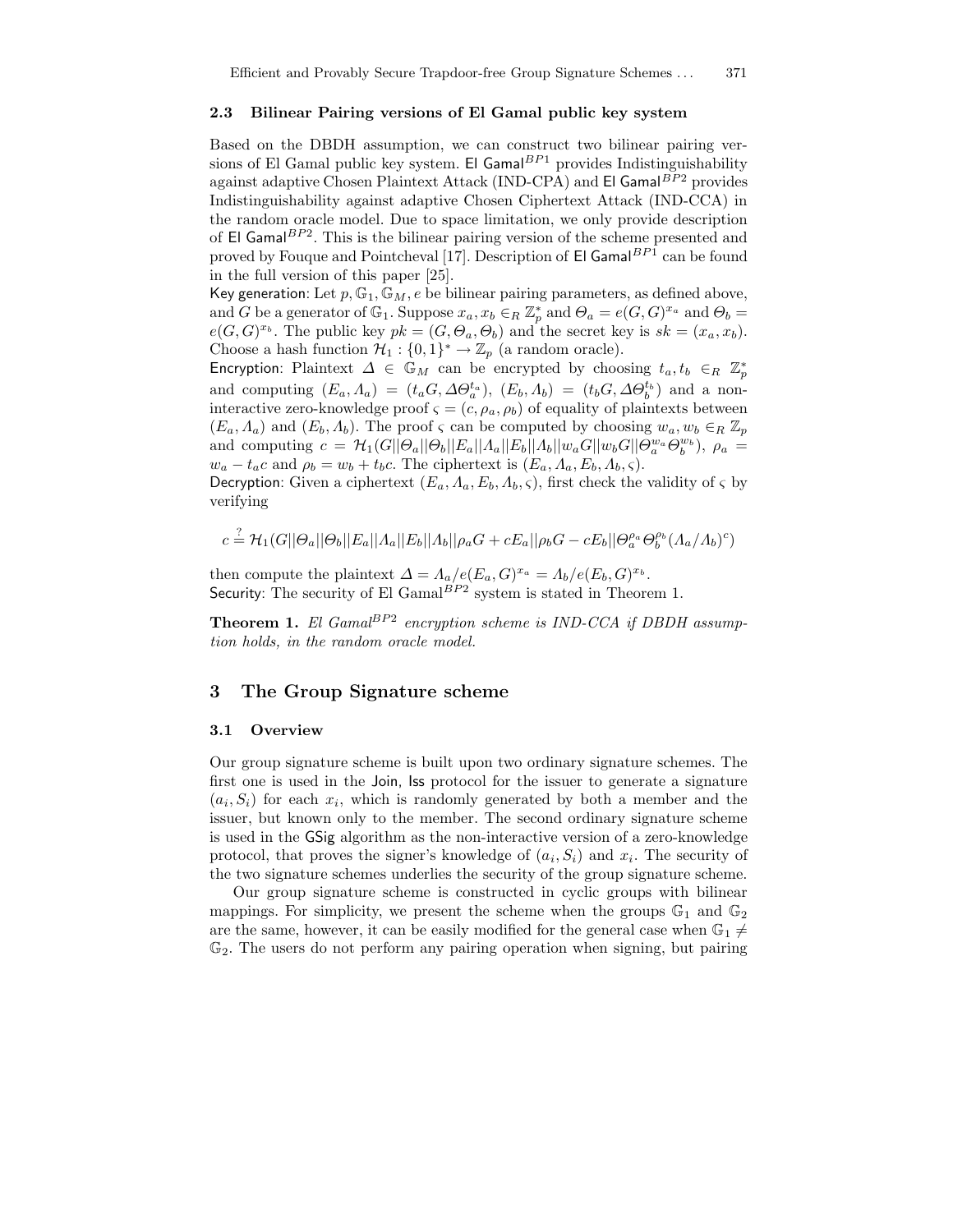#### 2.3 Bilinear Pairing versions of El Gamal public key system

Based on the DBDH assumption, we can construct two bilinear pairing versions of El Gamal public key system. El Gamal $^{BP1}$  provides Indistinguishability against adaptive Chosen Plaintext Attack (IND-CPA) and  $El Gamal<sup>BP2</sup>$  provides Indistinguishability against adaptive Chosen Ciphertext Attack (IND-CCA) in the random oracle model. Due to space limitation, we only provide description of  $El Gamal<sup>BP2</sup>$ . This is the bilinear pairing version of the scheme presented and proved by Fouque and Pointcheval [17]. Description of El Gamal $^{BP1}$  can be found in the full version of this paper [25].

Key generation: Let  $p, \mathbb{G}_1, \mathbb{G}_M, e$  be bilinear pairing parameters, as defined above, and G be a generator of  $\mathbb{G}_1$ . Suppose  $x_a, x_b \in_R \mathbb{Z}_p^*$  and  $\Theta_a = e(G, G)^{x_a}$  and  $\Theta_b =$  $e(G, G)^{x_b}$ . The public key  $pk = (G, \Theta_a, \Theta_b)$  and the secret key is  $sk = (x_a, x_b)$ . Choose a hash function  $\mathcal{H}_1: \{0,1\}^* \to \mathbb{Z}_p$  (a random oracle).

Encryption: Plaintext  $\Delta \in \mathbb{G}_M$  can be encrypted by choosing  $t_a, t_b \in_R \mathbb{Z}_p^*$ and computing  $(E_a, \Lambda_a) = (t_a G, \Delta \Theta_a^{t_a}), (E_b, \Lambda_b) = (t_b G, \Delta \Theta_b^{t_b})$  and a noninteractive zero-knowledge proof  $\varsigma = (c, \rho_a, \rho_b)$  of equality of plaintexts between  $(E_a, \Lambda_a)$  and  $(E_b, \Lambda_b)$ . The proof  $\varsigma$  can be computed by choosing  $w_a, w_b \in_R \mathbb{Z}_p$ and computing  $c = \mathcal{H}_1(G||\Theta_a||\Theta_b||E_a||A_a||E_b||A_b||w_aG||\Theta_a^{w_a}\Theta_b^{w_b}), \rho_a =$  $w_a - t_a c$  and  $\rho_b = w_b + t_b c$ . The ciphertext is  $(E_a, A_a, E_b, A_b, \varsigma)$ .

Decryption: Given a ciphertext  $(E_a, \Lambda_a, E_b, \Lambda_b, \varsigma)$ , first check the validity of  $\varsigma$  by verifying

$$
c\stackrel{?}{=}\mathcal{H}_1(G||\Theta_a||\Theta_b||E_a||\varLambda_a||E_b||\varLambda_b||\rho_aG+cE_a||\rho_bG-cE_b||\Theta_a^{\rho_a}\Theta_b^{\rho_b}(\varLambda_a/\varLambda_b)^c)
$$

then compute the plaintext  $\Delta = \Lambda_a/e(E_a, G)^{x_a} = \Lambda_b/e(E_b, G)^{x_b}$ . Security: The security of El Gamal $^{BP2}$  system is stated in Theorem 1.

**Theorem 1.** El Gamal<sup>BP2</sup> encryption scheme is IND-CCA if DBDH assumption holds, in the random oracle model.

# 3 The Group Signature scheme

#### 3.1 Overview

Our group signature scheme is built upon two ordinary signature schemes. The first one is used in the Join, Iss protocol for the issuer to generate a signature  $(a_i, S_i)$  for each  $x_i$ , which is randomly generated by both a member and the issuer, but known only to the member. The second ordinary signature scheme is used in the GSig algorithm as the non-interactive version of a zero-knowledge protocol, that proves the signer's knowledge of  $(a_i, S_i)$  and  $x_i$ . The security of the two signature schemes underlies the security of the group signature scheme.

Our group signature scheme is constructed in cyclic groups with bilinear mappings. For simplicity, we present the scheme when the groups  $\mathbb{G}_1$  and  $\mathbb{G}_2$ are the same, however, it can be easily modified for the general case when  $\mathbb{G}_1 \neq$ G2. The users do not perform any pairing operation when signing, but pairing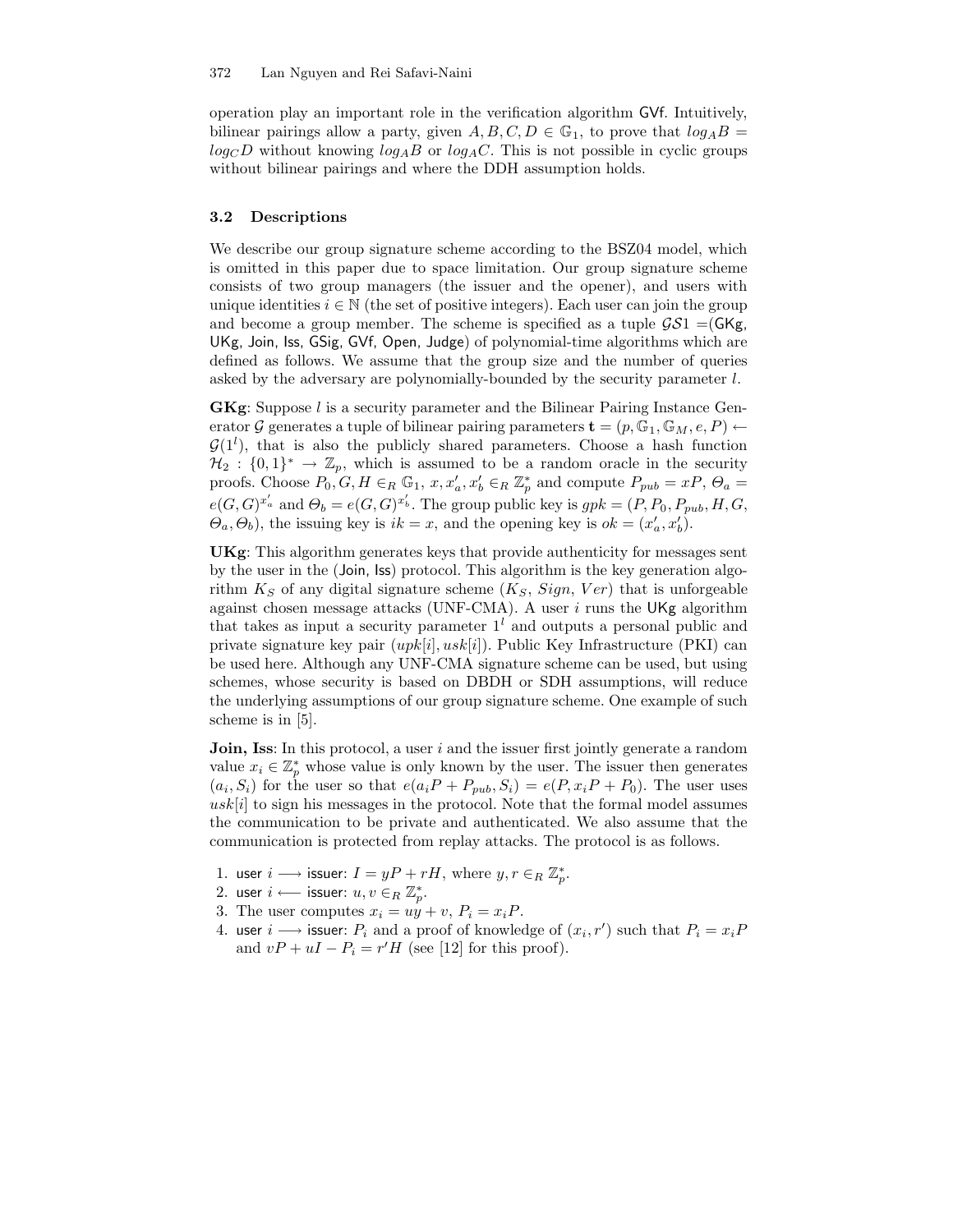operation play an important role in the verification algorithm GVf. Intuitively, bilinear pairings allow a party, given  $A, B, C, D \in \mathbb{G}_1$ , to prove that  $log_A B =$  $log_C D$  without knowing  $log_A B$  or  $log_A C$ . This is not possible in cyclic groups without bilinear pairings and where the DDH assumption holds.

#### 3.2 Descriptions

We describe our group signature scheme according to the BSZ04 model, which is omitted in this paper due to space limitation. Our group signature scheme consists of two group managers (the issuer and the opener), and users with unique identities  $i \in \mathbb{N}$  (the set of positive integers). Each user can join the group and become a group member. The scheme is specified as a tuple  $\mathcal{GS}1 = (GKg)$ , UKg, Join, Iss, GSig, GVf, Open, Judge) of polynomial-time algorithms which are defined as follows. We assume that the group size and the number of queries asked by the adversary are polynomially-bounded by the security parameter l.

 $GKg$ : Suppose  $l$  is a security parameter and the Bilinear Pairing Instance Generator G generates a tuple of bilinear pairing parameters  $\mathbf{t} = (p, \mathbb{G}_1, \mathbb{G}_M, e, P) \leftarrow$  $\mathcal{G}(1^l)$ , that is also the publicly shared parameters. Choose a hash function  $\mathcal{H}_2$ :  $\{0,1\}^* \to \mathbb{Z}_p$ , which is assumed to be a random oracle in the security proofs. Choose  $P_0, G, H \in_R \mathbb{G}_1$ ,  $x, x'_a, x'_b \in_R \mathbb{Z}_p^*$  and compute  $P_{pub} = xP, \Theta_a =$  $e(G, G)^{x'_a}$  and  $\Theta_b = e(G, G)^{x'_b}$ . The group public key is  $gpk = (P, P_0, P_{pub}, H, G, G)$  $\Theta_a, \Theta_b$ ), the issuing key is  $ik = x$ , and the opening key is  $ok = (x'_a, x'_b)$ .

UKg: This algorithm generates keys that provide authenticity for messages sent by the user in the (Join, Iss) protocol. This algorithm is the key generation algorithm  $K_S$  of any digital signature scheme  $(K_S, Sign, Ver)$  that is unforgeable against chosen message attacks (UNF-CMA). A user  $i$  runs the UKg algorithm that takes as input a security parameter  $1<sup>l</sup>$  and outputs a personal public and private signature key pair  $(upk[i], usk[i])$ . Public Key Infrastructure (PKI) can be used here. Although any UNF-CMA signature scheme can be used, but using schemes, whose security is based on DBDH or SDH assumptions, will reduce the underlying assumptions of our group signature scheme. One example of such scheme is in [5].

**Join, Iss:** In this protocol, a user  $i$  and the issuer first jointly generate a random value  $x_i \in \mathbb{Z}_p^*$  whose value is only known by the user. The issuer then generates  $(a_i, S_i)$  for the user so that  $e(a_i P + P_{pub}, S_i) = e(P, x_i P + P_0)$ . The user uses  $usk[i]$  to sign his messages in the protocol. Note that the formal model assumes the communication to be private and authenticated. We also assume that the communication is protected from replay attacks. The protocol is as follows.

- 1. user  $i \longrightarrow$  issuer:  $I = yP + rH$ , where  $y, r \in_R \mathbb{Z}_p^*$ .
- 2. user  $i \longleftarrow$  issuer:  $u, v \in_R \mathbb{Z}_p^*$ .
- 3. The user computes  $x_i = uy + v$ ,  $P_i = x_iP$ .
- 4. user  $i \longrightarrow$  issuer:  $P_i$  and a proof of knowledge of  $(x_i, r')$  such that  $P_i = x_i P_i$ and  $vP + uI - P_i = r'H$  (see [12] for this proof).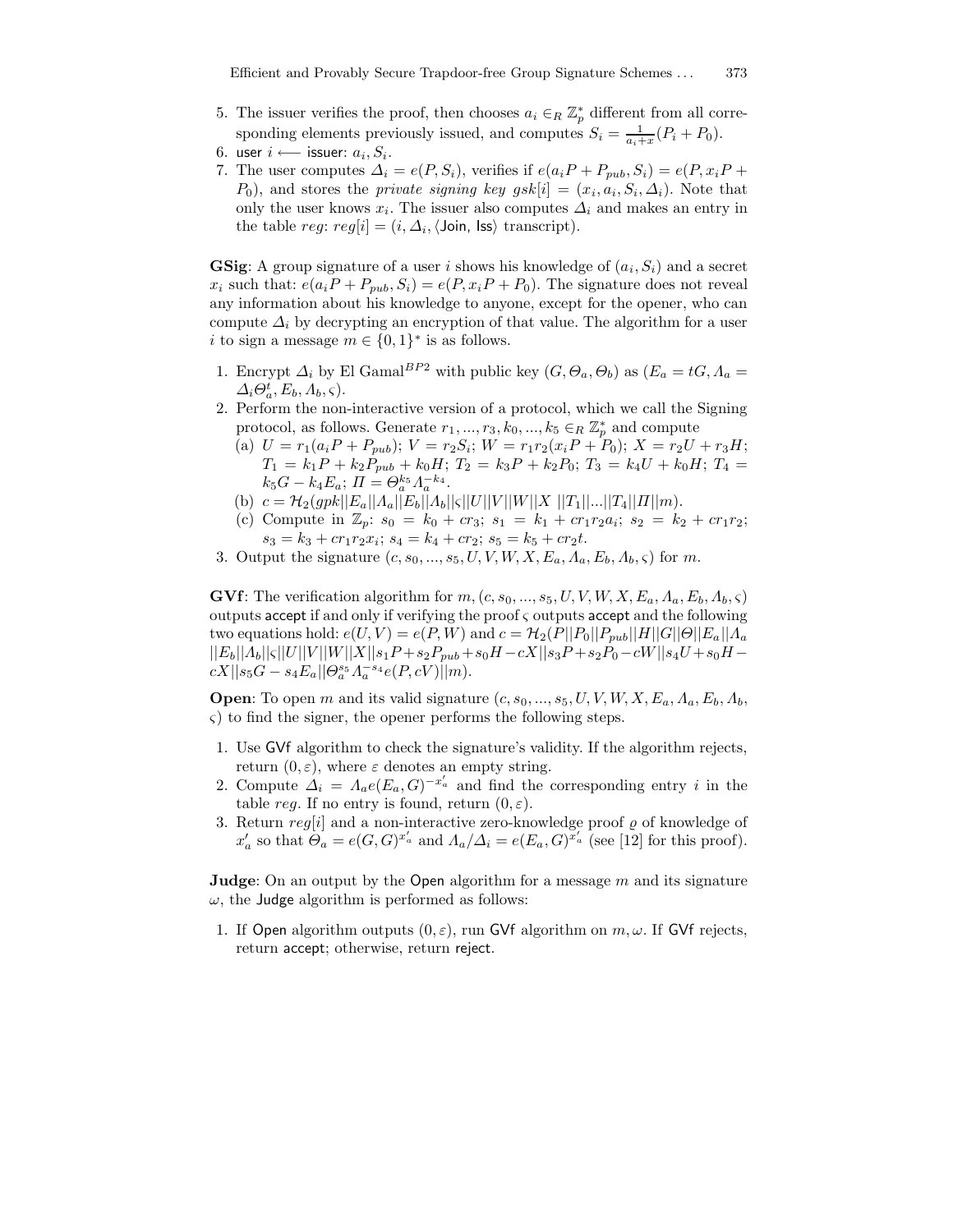- 5. The issuer verifies the proof, then chooses  $a_i \in_R \mathbb{Z}_p^*$  different from all corresponding elements previously issued, and computes  $S_i = \frac{1}{a_i + x}(P_i + P_0)$ .
- 6. user  $i \longleftarrow$  issuer:  $a_i, S_i$ .
- 7. The user computes  $\Delta_i = e(P, S_i)$ , verifies if  $e(a_i P + P_{pub}, S_i) = e(P, x_i P + P_{pub}, S_i)$  $P_0$ , and stores the *private signing key gsk*[i] =  $(x_i, a_i, S_i, \Delta_i)$ . Note that only the user knows  $x_i$ . The issuer also computes  $\Delta_i$  and makes an entry in the table  $reg: reg[i] = (i, \Delta_i, \Delta_i)$  transcript).

**GSig**: A group signature of a user i shows his knowledge of  $(a_i, S_i)$  and a secret  $x_i$  such that:  $e(a_iP + P_{pub}, S_i) = e(P, x_iP + P_0)$ . The signature does not reveal any information about his knowledge to anyone, except for the opener, who can compute  $\Delta_i$  by decrypting an encryption of that value. The algorithm for a user i to sign a message  $m \in \{0,1\}^*$  is as follows.

- 1. Encrypt  $\Delta_i$  by El Gamal<sup>BP2</sup> with public key  $(G, \Theta_a, \Theta_b)$  as  $(E_a = tG, \Lambda_a =$  $\Delta_i \Theta_a^t, E_b, \Lambda_b, \varsigma).$
- 2. Perform the non-interactive version of a protocol, which we call the Signing protocol, as follows. Generate  $r_1, ..., r_3, k_0, ..., k_5 \in_R \mathbb{Z}_p^*$  and compute
	- (a)  $U = r_1(a_i P + P_{pub});$   $V = r_2 S_i;$   $W = r_1 r_2(x_i P + P_0);$   $X = r_2 U + r_3 H;$  $T_1 = k_1 P + k_2 P_{pub} + k_0 H$ ;  $T_2 = k_3 P + k_2 P_0$ ;  $T_3 = k_4 U + k_0 H$ ;  $T_4 =$  $k_5G - k_4E_a; \Pi = \Theta_a^{k_5} \Lambda_a^{-k_4}.$
	- (b)  $c = \mathcal{H}_2(gpk||E_a||A_a||E_b||A_b||\varsigma||U||V||W||X||T_1||...||T_4||H||m).$
	- (c) Compute in  $\mathbb{Z}_p$ :  $s_0 = k_0 + cr_3$ ;  $s_1 = k_1 + cr_1r_2a_i$ ;  $s_2 = k_2 + cr_1r_2$ ;  $s_3 = k_3 + cr_1r_2x_i$ ;  $s_4 = k_4 + cr_2$ ;  $s_5 = k_5 + cr_2t$ .
- 3. Output the signature  $(c, s_0, ..., s_5, U, V, W, X, E_a, \Lambda_a, E_b, \Lambda_b, \varsigma)$  for m.

**GVf**: The verification algorithm for  $m, (c, s_0, ..., s_5, U, V, W, X, E_a, \Lambda_a, E_b, \Lambda_b, \varsigma)$ outputs accept if and only if verifying the proof  $\varsigma$  outputs accept and the following two equations hold:  $e(U, V) = e(P, W)$  and  $c = H_2(P||P_0||P_{pub}||H||G||\Theta||E_a||A_a$  $||E_b||A_b||S||U||V||W||X||s_1P + s_2P_{pub} + s_0H - cX||s_3P + s_2P_0 - cW||s_4U + s_0H - cY||s_4U$  $cX||s_5G - s_4E_a||\Theta_a^{s_5}\Lambda_a^{-s_4}e(P, cV)||m).$ 

**Open:** To open m and its valid signature  $(c, s_0, ..., s_5, U, V, W, X, E_a, \Lambda_a, E_b, \Lambda_b,$  $\varsigma$ ) to find the signer, the opener performs the following steps.

- 1. Use GVf algorithm to check the signature's validity. If the algorithm rejects, return  $(0, \varepsilon)$ , where  $\varepsilon$  denotes an empty string.
- 2. Compute  $\Delta_i = \Lambda_a e(E_a, G)^{-x'_a}$  and find the corresponding entry i in the table reg. If no entry is found, return  $(0, \varepsilon)$ .
- 3. Return  $reg[i]$  and a non-interactive zero-knowledge proof  $\varrho$  of knowledge of  $x'_a$  so that  $\Theta_a = e(G, G)^{x'_a}$  and  $\Lambda_a/\Lambda_i = e(E_a, G)^{x'_a}$  (see [12] for this proof).

**Judge:** On an output by the Open algorithm for a message  $m$  and its signature  $\omega$ , the Judge algorithm is performed as follows:

1. If Open algorithm outputs  $(0, \varepsilon)$ , run GVf algorithm on  $m, \omega$ . If GVf rejects, return accept; otherwise, return reject.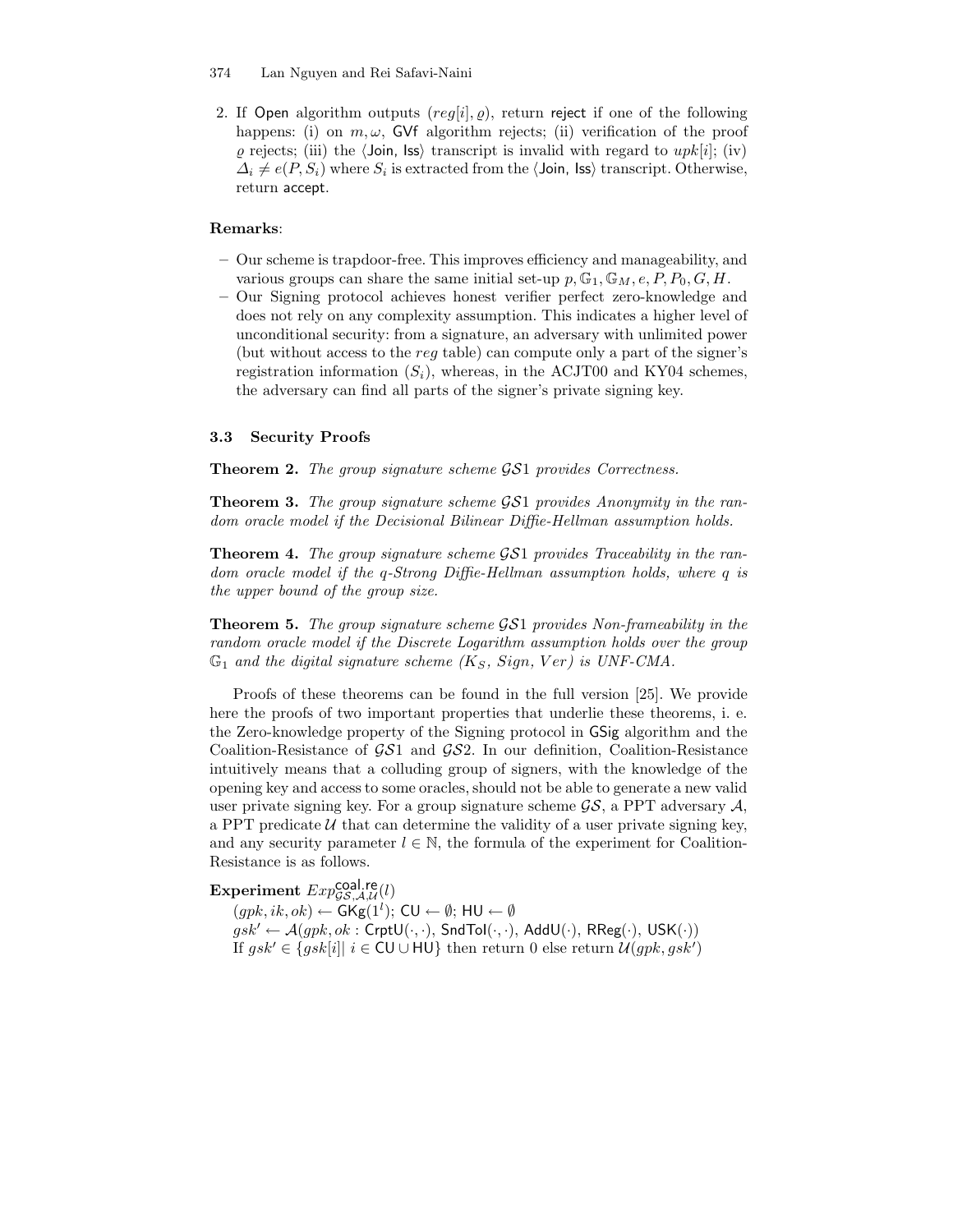- 374 Lan Nguyen and Rei Safavi-Naini
- 2. If Open algorithm outputs  $reg[i], \rho$ , return reject if one of the following happens: (i) on  $m, \omega$ , GVf algorithm rejects; (ii) verification of the proof  $\rho$  rejects; (iii) the  $\Delta$ Join, Iss) transcript is invalid with regard to upk[i]; (iv)  $\Delta_i \neq e(P, S_i)$  where  $S_i$  is extracted from the  $\langle$ Join, Iss $\rangle$  transcript. Otherwise, return accept.

## Remarks:

- Our scheme is trapdoor-free. This improves efficiency and manageability, and various groups can share the same initial set-up  $p, \mathbb{G}_1, \mathbb{G}_M, e, P, P_0, G, H$ .
- Our Signing protocol achieves honest verifier perfect zero-knowledge and does not rely on any complexity assumption. This indicates a higher level of unconditional security: from a signature, an adversary with unlimited power (but without access to the reg table) can compute only a part of the signer's registration information  $(S_i)$ , whereas, in the ACJT00 and KY04 schemes, the adversary can find all parts of the signer's private signing key.

#### 3.3 Security Proofs

Theorem 2. The group signature scheme GS1 provides Correctness.

Theorem 3. The group signature scheme GS1 provides Anonymity in the random oracle model if the Decisional Bilinear Diffie-Hellman assumption holds.

**Theorem 4.** The group signature scheme GS1 provides Traceability in the random oracle model if the q-Strong Diffie-Hellman assumption holds, where q is the upper bound of the group size.

Theorem 5. The group signature scheme GS1 provides Non-frameability in the random oracle model if the Discrete Logarithm assumption holds over the group  $\mathbb{G}_1$  and the digital signature scheme  $(K_S, Sign, Ver)$  is UNF-CMA.

Proofs of these theorems can be found in the full version [25]. We provide here the proofs of two important properties that underlie these theorems, i. e. the Zero-knowledge property of the Signing protocol in GSig algorithm and the Coalition-Resistance of  $\mathcal{G}S1$  and  $\mathcal{G}S2$ . In our definition, Coalition-Resistance intuitively means that a colluding group of signers, with the knowledge of the opening key and access to some oracles,should not be able to generate a new valid user private signing key. For a group signature scheme  $\mathcal{GS}$ , a PPT adversary  $\mathcal{A}$ , a PPT predicate  $\mathcal{U}$  that can determine the validity of a user private signing key, and any security parameter  $l \in \mathbb{N}$ , the formula of the experiment for Coalition-Resistance is as follows.

Experiment  $Exp_{\mathcal{GS},\mathcal{A},\mathcal{U}}^\mathsf{coal. re}(l)$ 

 $(gpk, ik, ok) \leftarrow GKg(1<sup>l</sup>)$ ; CU  $\leftarrow \emptyset$ ; HU  $\leftarrow \emptyset$  $gsk' \leftarrow \mathcal{A}(gpk, ok : \mathsf{CrptU}(\cdot, \cdot), \mathsf{SndTol}(\cdot, \cdot), \mathsf{AddU}(\cdot), \mathsf{RReg}(\cdot), \mathsf{USK}(\cdot))$ If  $gsk' \in \{gsk[i] | i \in \text{CU} \cup \text{HU}\}\$  then return 0 else return  $\mathcal{U}(gpk, gsk')$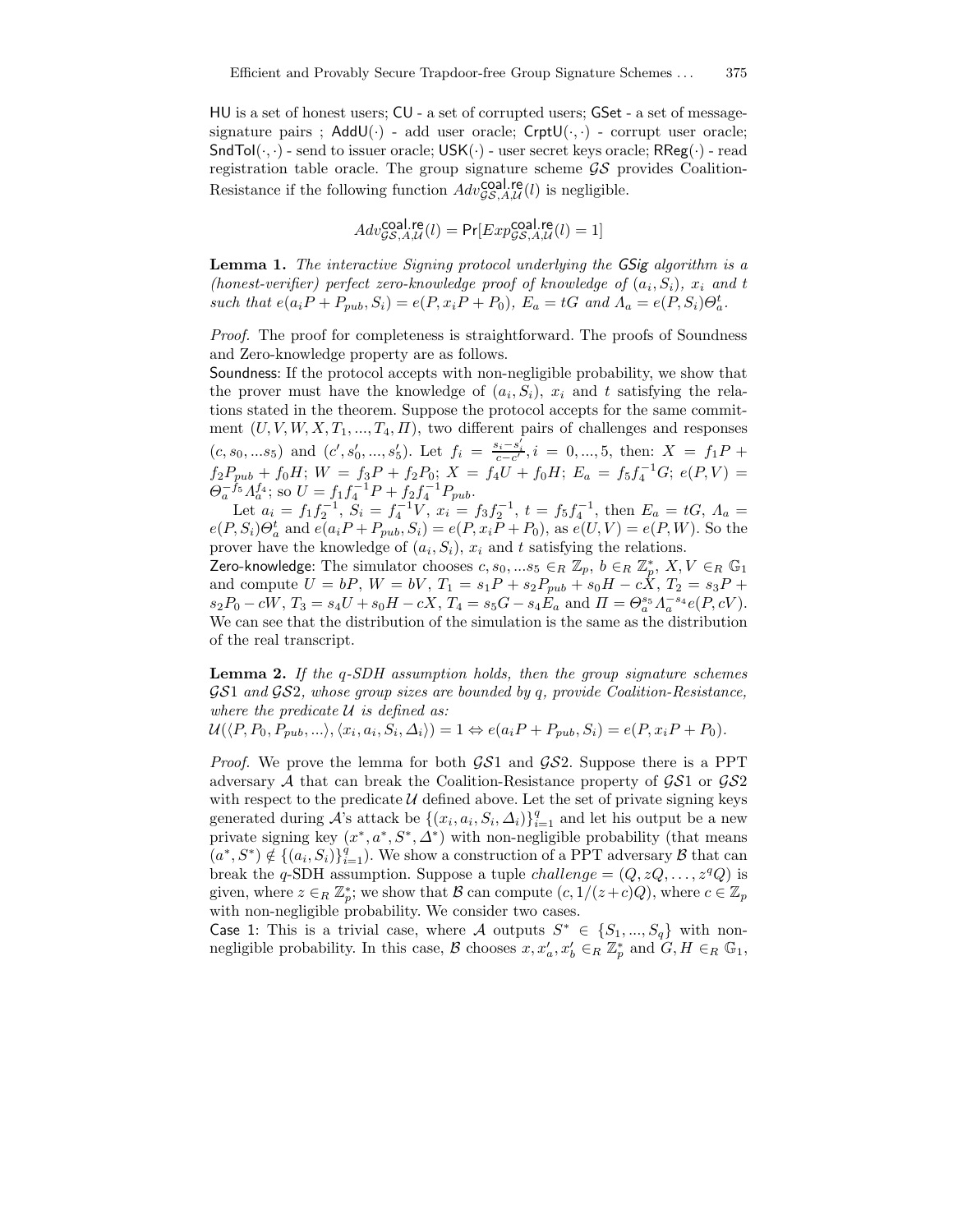HU is a set of honest users; CU - a set of corrupted users; GSet - a set of messagesignature pairs ;  $AddU(\cdot)$  - add user oracle;  $CrptU(\cdot, \cdot)$  - corrupt user oracle;  $SndTol(\cdot, \cdot)$  - send to issuer oracle;  $USK(\cdot)$  - user secret keys oracle;  $RReg(\cdot)$  - read registration table oracle. The group signature scheme  $\mathcal{GS}$  provides Coalition-Resistance if the following function  $Adv_{GS,A,\mathcal{U}}^{\text{coal.re}}(l)$  is negligible.

$$
Adv_{\mathcal{GS},A,\mathcal{U}}^{\textsf{coal.re}}(l) = \Pr[Exp_{\mathcal{GS},A,\mathcal{U}}^{\textsf{coal.re}}(l) = 1]
$$

Lemma 1. The interactive Signing protocol underlying the GSig algorithm is a (honest-verifier) perfect zero-knowledge proof of knowledge of  $(a_i, S_i)$ ,  $x_i$  and t such that  $e(a_iP + P_{pub}, S_i) = e(P, x_iP + P_0)$ ,  $E_a = tG$  and  $\Lambda_a = e(P, S_i)\Theta_a^t$ .

Proof. The proof for completeness is straightforward. The proofs of Soundness and Zero-knowledge property are as follows.

Soundness: If the protocol accepts with non-negligible probability, we show that the prover must have the knowledge of  $(a_i, S_i)$ ,  $x_i$  and t satisfying the relations stated in the theorem. Suppose the protocol accepts for the same commitment  $(U, V, W, X, T_1, ..., T_4, \Pi)$ , two different pairs of challenges and responses  $(c, s_0, ... s_5)$  and  $(c', s'_0, ..., s'_5)$ . Let  $f_i = \frac{s_i - s'_i}{c - c'}$ ,  $i = 0, ..., 5$ , then:  $X = f_1 P +$  $f_2P_{pub} + f_0H$ ;  $W = f_3P + f_2P_0$ ;  $X = f_4U + f_0H$ ;  $E_a = f_5f_4^{-1}G$ ;  $e(P, V) =$  $\Theta_a^{-f_5} A_a^{f_4}$ ; so  $U = f_1 f_4^{-1} P + f_2 f_4^{-1} P_{pub}$ .

Let  $a_i = f_1 f_2^{-1}$ ,  $S_i = f_4^{-1} V$ ,  $x_i = f_3 f_2^{-1}$ ,  $t = f_5 f_4^{-1}$ , then  $E_a = tG$ ,  $\Lambda_a =$  $e(P, S_i)\Theta_a^t$  and  $e(a_iP + P_{pub}, S_i) = e(P, x_iP + P_0)$ , as  $e(U, V) = e(P, W)$ . So the prover have the knowledge of  $(a_i, S_i)$ ,  $x_i$  and t satisfying the relations.

Zero-knowledge: The simulator chooses  $c, s_0, ... s_5 \in_R \mathbb{Z}_p$ ,  $b \in_R \mathbb{Z}_p^*, X, V \in_R \mathbb{G}_1$ and compute  $U = bP$ ,  $W = bV$ ,  $T_1 = s_1P + s_2P_{pub} + s_0H - c\dot{X}$ ,  $T_2 = s_3P + c_1F$  $s_2P_0-cW$ ,  $T_3 = s_4U + s_0H - cX$ ,  $T_4 = s_5G - s_4E_a$  and  $\Pi = \Theta_a^{s_5}\Lambda_a^{-s_4}e(P, cV)$ . We can see that the distribution of the simulation is the same as the distribution of the real transcript.

Lemma 2. If the q-SDH assumption holds, then the group signature schemes GS1 and GS2, whose group sizes are bounded by q, provide Coalition-Resistance, where the predicate  $U$  is defined as:

 $\mathcal{U}(\langle P, P_0, P_{pub}, ...\rangle, \langle x_i, a_i, S_i, \Delta_i \rangle) = 1 \Leftrightarrow e(a_i P + P_{pub}, S_i) = e(P, x_i P + P_0).$ 

*Proof.* We prove the lemma for both  $\mathcal{G}S1$  and  $\mathcal{G}S2$ . Suppose there is a PPT adversary A that can break the Coalition-Resistance property of  $\mathcal{G}S1$  or  $\mathcal{G}S2$ with respect to the predicate  $U$  defined above. Let the set of private signing keys generated during A's attack be  $\{(x_i, a_i, S_i, \Delta_i)\}_{i=1}^q$  and let his output be a new private signing key  $(x^*, a^*, S^*, \Delta^*)$  with non-negligible probability (that means  $(a^*, S^*) \notin \{(a_i, S_i)\}_{i=1}^q$ ). We show a construction of a PPT adversary  $\mathcal{B}$  that can break the q-SDH assumption. Suppose a tuple  $challenge = (Q, zQ, \ldots, z^qQ)$  is given, where  $z \in_R \mathbb{Z}_p^*$ ; we show that  $\mathcal B$  can compute  $(c, 1/(z+c)Q)$ , where  $c \in \mathbb{Z}_p$ with non-negligible probability. We consider two cases.

Case 1: This is a trivial case, where A outputs  $S^* \in \{S_1, ..., S_q\}$  with nonnegligible probability. In this case,  $\mathcal B$  chooses  $x, x'_a, x'_b \in_R \mathbb{Z}_p^*$  and  $G, H \in_R \mathbb{G}_1$ ,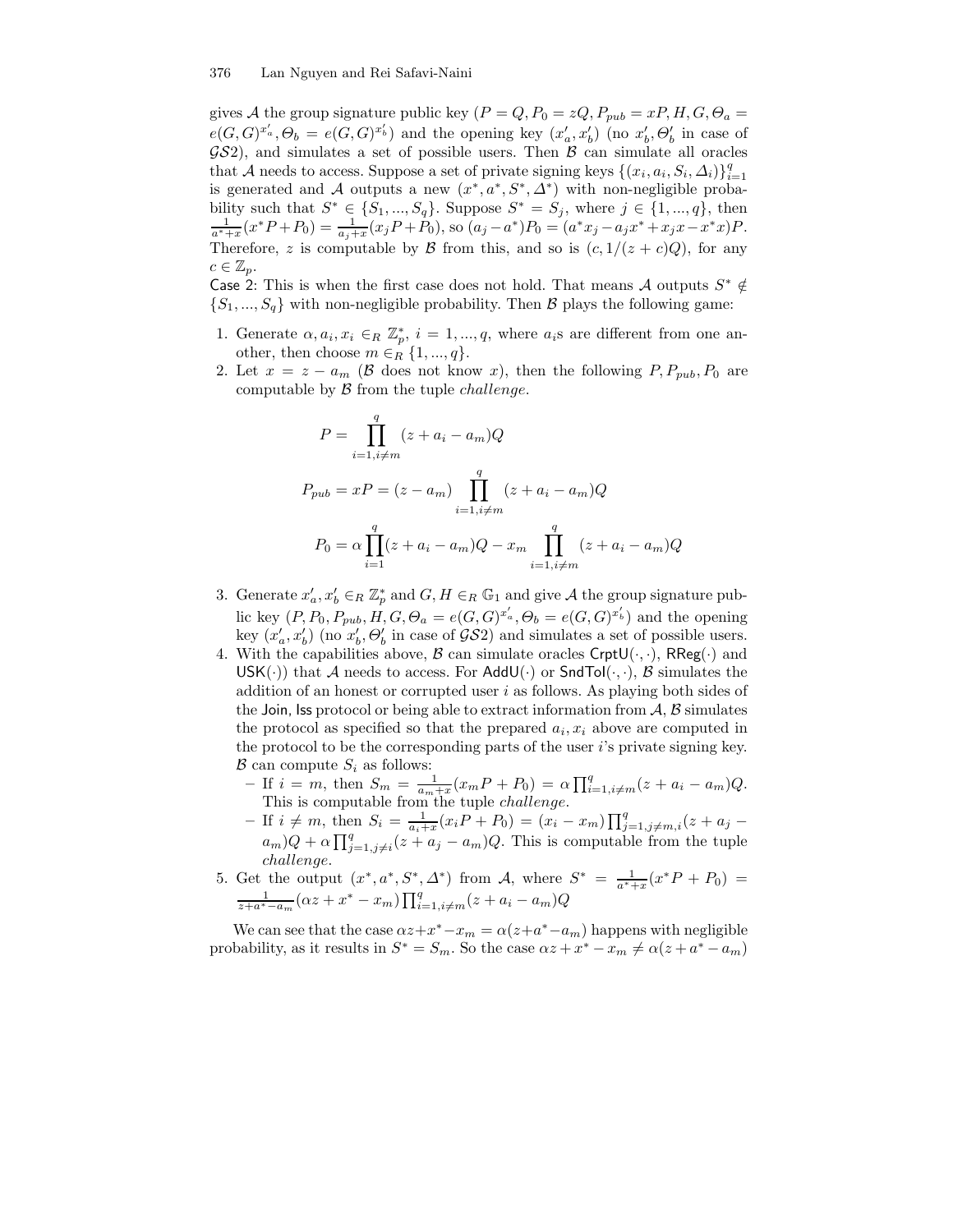#### 376 Lan Nguyen and Rei Safavi-Naini

gives A the group signature public key  $(P = Q, P_0 = zQ, P_{pub} = xP, H, G, \Theta_a =$  $e(G, G)^{x_a}, \Theta_b = e(G, G)^{x_b}$  and the opening key  $(x_a', x_b')$  (no  $x_b', \Theta_b'$  in case of  $\mathcal{G}S2$ ), and simulates a set of possible users. Then  $\mathcal B$  can simulate all oracles that A needs to access. Suppose a set of private signing keys  $\{(x_i, a_i, S_i, \Delta_i)\}_{i=1}^q$ is generated and A outputs a new  $(x^*, a^*, S^*, \Delta^*)$  with non-negligible probability such that  $S^* \in \{S_1, ..., S_q\}$ . Suppose  $S^* = S_j$ , where  $j \in \{1, ..., q\}$ , then  $\frac{1}{a^*+x}(x^*P+P_0) = \frac{1}{a_j+x}(x_jP+P_0)$ , so  $(a_j - a^*)P_0 = (a^*x_j - a_jx^* + x_jx - x^*x)P$ . Therefore, z is computable by  $\beta$  from this, and so is  $(c, 1/(z + c)Q)$ , for any  $c \in \mathbb{Z}_p$ .

Case 2: This is when the first case does not hold. That means A outputs  $S^* \notin$  $\{S_1, ..., S_q\}$  with non-negligible probability. Then  $\beta$  plays the following game:

- 1. Generate  $\alpha, a_i, x_i \in_R \mathbb{Z}_p^*, i = 1, ..., q$ , where  $a_i$ s are different from one another, then choose  $m \in_R \{1, ..., q\}$ .
- 2. Let  $x = z a_m$  ( $\beta$  does not know x), then the following  $P, P_{pub}, P_0$  are computable by  $\beta$  from the tuple *challenge*.

$$
P = \prod_{i=1, i \neq m}^{q} (z + a_i - a_m)Q
$$
  
\n
$$
P_{pub} = xP = (z - a_m) \prod_{i=1, i \neq m}^{q} (z + a_i - a_m)Q
$$
  
\n
$$
P_0 = \alpha \prod_{i=1}^{q} (z + a_i - a_m)Q - x_m \prod_{i=1, i \neq m}^{q} (z + a_i - a_m)Q
$$

- 3. Generate  $x'_a, x'_b \in_R \mathbb{Z}_p^*$  and  $G, H \in_R \mathbb{G}_1$  and give A the group signature public key  $(P, P_0, P_{pub}, H, G, \Theta_a = e(G, G)^{x'_a}, \Theta_b = e(G, G)^{x'_b}$  and the opening key  $(x'_a, x'_b)$  (no  $x'_b, \Theta'_b$  in case of  $\mathcal{GS}2$ ) and simulates a set of possible users.
- 4. With the capabilities above,  $\beta$  can simulate oracles  $CrptU(\cdot, \cdot)$ , RReg( $\cdot$ ) and  $USK(.)$  that A needs to access. For AddU( $\cdot$ ) or SndToI( $\cdot$ , $\cdot$ ), B simulates the addition of an honest or corrupted user  $i$  as follows. As playing both sides of the Join, Iss protocol or being able to extract information from  $A, B$  simulates the protocol as specified so that the prepared  $a_i, x_i$  above are computed in the protocol to be the corresponding parts of the user  $i$ 's private signing key.  $\mathcal B$  can compute  $S_i$  as follows:
	- If  $i = m$ , then  $S_m = \frac{1}{a_m+x}(x_mP + P_0) = \alpha \prod_{i=1, i \neq m}^{q}(z + a_i a_m)Q$ . This is computable from the tuple *challenge*.
	- If *i* ≠ *m*, then  $S_i = \frac{1}{a_i + x}(x_i P + P_0) = (x_i x_m) \prod_{j=1, j \neq m, i}^{q} (z + a_j p_j)$  $(a_m)Q + \alpha \prod_{j=1, j\neq i}^{q} (z + a_j - a_m)Q$ . This is computable from the tuple challenge.
- 5. Get the output  $(x^*, a^*, S^*, \Delta^*)$  from A, where  $S^* = \frac{1}{a^*+x}(x^*P + P_0) =$  $\frac{1}{z+a^*-a_m}(\alpha z+x^*-x_m)\prod_{i=1,i\neq m}^q(z+a_i-a_m)Q$

We can see that the case  $\alpha z + x^* - x_m = \alpha(z + a^* - a_m)$  happens with negligible probability, as it results in  $S^* = S_m$ . So the case  $\alpha z + x^* - x_m \neq \alpha (z + a^* - a_m)$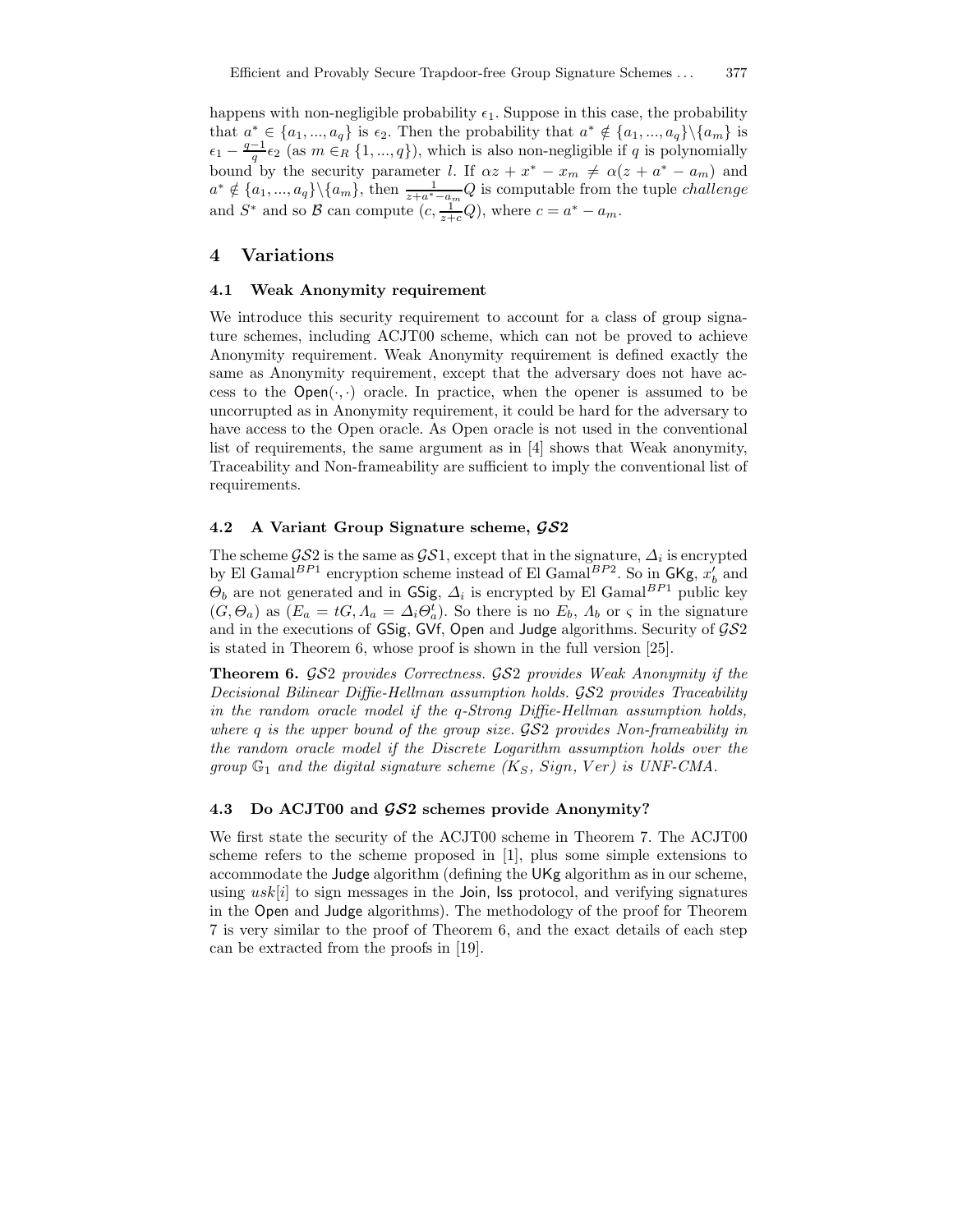happens with non-negligible probability  $\epsilon_1$ . Suppose in this case, the probability that  $a^* \in \{a_1, ..., a_q\}$  is  $\epsilon_2$ . Then the probability that  $a^* \notin \{a_1, ..., a_q\} \setminus \{a_m\}$  is  $\epsilon_1 - \frac{q-1}{q} \epsilon_2$  (as  $m \in_R \{1, ..., q\}$ ), which is also non-negligible if q is polynomially bound by the security parameter l. If  $\alpha z + x^* - x_m \neq \alpha (z + a^* - a_m)$  and  $a^* \notin \{a_1, ..., a_q\} \setminus \{a_m\}$ , then  $\frac{1}{z+a^* - a_m}Q$  is computable from the tuple *challenge* and  $S^*$  and so  $\mathcal B$  can compute  $(c, \frac{1}{z+c}Q)$ , where  $c = a^* - a_m$ .

## 4 Variations

## 4.1 Weak Anonymity requirement

We introduce this security requirement to account for a class of group signature schemes, including ACJT00 scheme, which can not be proved to achieve Anonymity requirement. Weak Anonymity requirement is defined exactly the same as Anonymity requirement, except that the adversary does not have access to the  $Open(\cdot, \cdot)$  oracle. In practice, when the opener is assumed to be uncorrupted as in Anonymity requirement, it could be hard for the adversary to have access to the Open oracle. As Open oracle is not used in the conventional list of requirements, the same argument as in [4] shows that Weak anonymity, Traceability and Non-frameability are sufficient to imply the conventional list of requirements.

## 4.2 A Variant Group Signature scheme,  $\mathcal{G}S2$

The scheme  $\mathcal{G}S2$  is the same as  $\mathcal{G}S1$ , except that in the signature,  $\Delta_i$  is encrypted by El Gamal<sup>BP1</sup> encryption scheme instead of El Gamal<sup>BP2</sup>. So in  $GKg$ ,  $x'_b$  and  $\Theta_b$  are not generated and in GSig,  $\Delta_i$  is encrypted by El Gamal<sup>BP1</sup> public key  $(G, \Theta_a)$  as  $(E_a = tG, \Lambda_a = \Delta_i \Theta_a^t)$ . So there is no  $E_b$ ,  $\Lambda_b$  or  $\varsigma$  in the signature and in the executions of GSig, GVf, Open and Judge algorithms. Security of  $\mathcal{GS}2$ is stated in Theorem 6, whose proof is shown in the full version [25].

Theorem 6. GS2 provides Correctness. GS2 provides Weak Anonymity if the Decisional Bilinear Diffie-Hellman assumption holds. GS2 provides Traceability in the random oracle model if the q-Strong Diffie-Hellman assumption holds, where q is the upper bound of the group size. GS2 provides Non-frameability in the random oracle model if the Discrete Logarithm assumption holds over the group  $\mathbb{G}_1$  and the digital signature scheme  $(K_S, Sign, Ver)$  is UNF-CMA.

## 4.3 Do ACJT00 and  $\mathcal{G}S2$  schemes provide Anonymity?

We first state the security of the ACJT00 scheme in Theorem 7. The ACJT00 scheme refers to the scheme proposed in [1], plus some simple extensions to accommodate the Judge algorithm (defining the UKg algorithm as in our scheme, using  $usk[i]$  to sign messages in the Join, Iss protocol, and verifying signatures in the Open and Judge algorithms). The methodology of the proof for Theorem 7 is very similar to the proof of Theorem 6, and the exact details of each step can be extracted from the proofs in [19].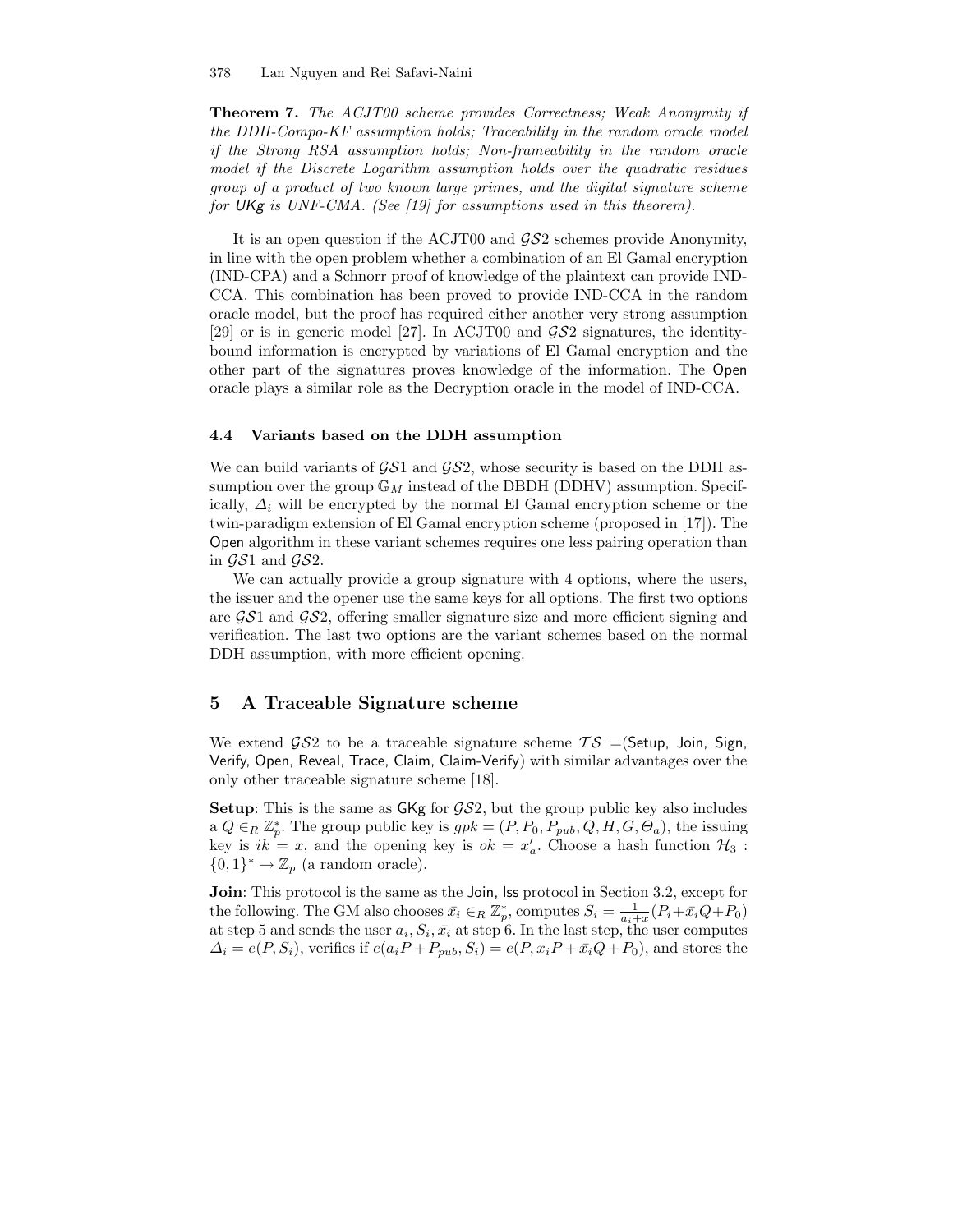Theorem 7. The ACJT00 scheme provides Correctness; Weak Anonymity if the DDH-Compo-KF assumption holds; Traceability in the random oracle model if the Strong RSA assumption holds; Non-frameability in the random oracle model if the Discrete Logarithm assumption holds over the quadratic residues group of a product of two known large primes, and the digital signature scheme for UKg is UNF-CMA. (See [19] for assumptions used in this theorem).

It is an open question if the ACJT00 and  $\mathcal{G}S2$  schemes provide Anonymity, in line with the open problem whether a combination of an El Gamal encryption (IND-CPA) and a Schnorr proof of knowledge of the plaintext can provide IND-CCA. This combination has been proved to provide IND-CCA in the random oracle model, but the proof has required either another very strong assumption [29] or is in generic model [27]. In ACJT00 and  $\mathcal{GS}2$  signatures, the identitybound information is encrypted by variations of El Gamal encryption and the other part of the signatures proves knowledge of the information. The Open oracle plays a similar role as the Decryption oracle in the model of IND-CCA.

#### 4.4 Variants based on the DDH assumption

We can build variants of  $\mathcal{G}S1$  and  $\mathcal{G}S2$ , whose security is based on the DDH assumption over the group  $\mathbb{G}_M$  instead of the DBDH (DDHV) assumption. Specifically,  $\Delta_i$  will be encrypted by the normal El Gamal encryption scheme or the twin-paradigm extension of El Gamal encryption scheme (proposed in [17]). The Open algorithm in these variant schemes requires one less pairing operation than in  $\mathcal{G}\mathcal{S}1$  and  $\mathcal{G}\mathcal{S}2$ .

We can actually provide a group signature with 4 options, where the users, the issuer and the opener use the same keys for all options. The first two options are  $\mathcal{G}S1$  and  $\mathcal{G}S2$ , offering smaller signature size and more efficient signing and verification. The last two options are the variant schemes based on the normal DDH assumption, with more efficient opening.

## 5 A Traceable Signature scheme

We extend  $\mathcal{G}S2$  to be a traceable signature scheme  $\mathcal{TS} =$ (Setup, Join, Sign, Verify, Open, Reveal, Trace, Claim, Claim-Verify) with similar advantages over the only other traceable signature scheme [18].

Setup: This is the same as  $GKg$  for  $\mathcal{GS}2$ , but the group public key also includes a  $Q \in_R \mathbb{Z}_p^*$ . The group public key is  $gpk = (P, P_0, P_{pub}, Q, H, G, \Theta_a)$ , the issuing key is  $ik = x$ , and the opening key is  $ok = x'_a$ . Choose a hash function  $\mathcal{H}_3$ :  ${0,1}^* \rightarrow \mathbb{Z}_p$  (a random oracle).

Join: This protocol is the same as the Join, Iss protocol in Section 3.2, except for the following. The GM also chooses  $\bar{x}_i \in_R \mathbb{Z}_p^*$ , computes  $S_i = \frac{1}{a_i + x}(P_i + \bar{x}_i Q + P_0)$ at step 5 and sends the user  $a_i, S_i, \bar{x_i}$  at step 6. In the last step, the user computes  $\Delta_i = e(P, S_i)$ , verifies if  $e(a_i P + P_{pub}, S_i) = e(P, x_i P + \bar{x_i} Q + P_0)$ , and stores the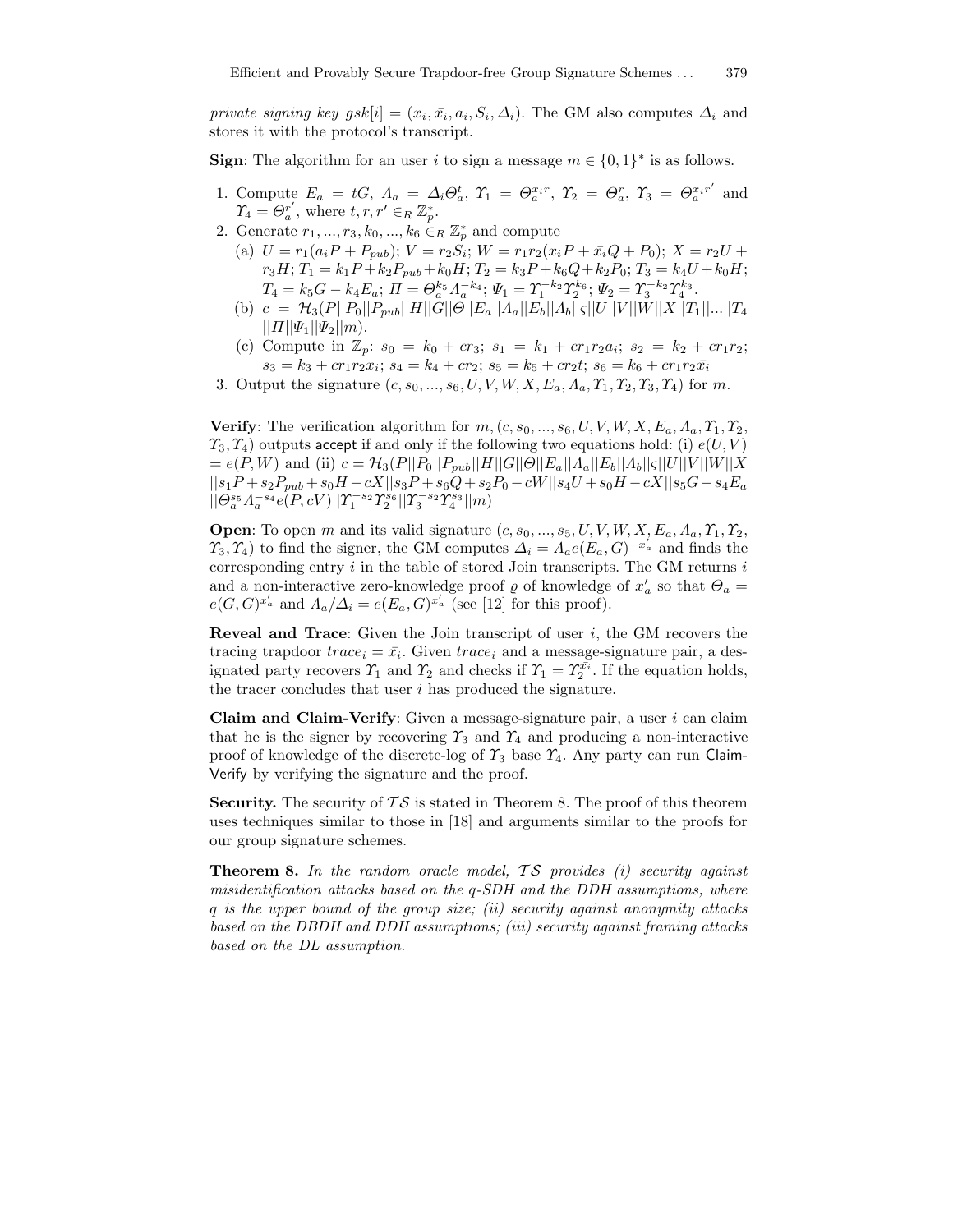private signing key  $gsk[i] = (x_i, \bar{x}_i, a_i, S_i, \Delta_i)$ . The GM also computes  $\Delta_i$  and stores it with the protocol's transcript.

**Sign:** The algorithm for an user i to sign a message  $m \in \{0, 1\}^*$  is as follows.

- 1. Compute  $E_a = tG$ ,  $\Lambda_a = \Lambda_i \Theta_a^t$ ,  $\Upsilon_1 = \Theta_a^{\bar{x}_i r}$ ,  $\Upsilon_2 = \Theta_a^r$ ,  $\Upsilon_3 = \Theta_a^{x_i r'}$  and  $\varUpsilon_4 = \varTheta_a^{r'}$ , where  $t, r, r' \in_R \mathbb{Z}_p^*$ .
- 2. Generate  $r_1, ..., r_3, k_0, ..., k_6 \in_R \mathbb{Z}_p^*$  and compute
	- (a)  $U = r_1(a_i P + P_{pub}); V = r_2 S_i; W = r_1 r_2(x_i P + \bar{x_i} Q + P_0); X = r_2 U +$  $r_3H$ ;  $T_1 = k_1P + k_2P_{pub} + k_0H$ ;  $T_2 = k_3P + k_6Q + k_2P_0$ ;  $T_3 = k_4U + k_0H$ ;  $T_4 = k_5 G - k_4 E_a; \, H = \Theta_a^{k_5} \Lambda_a^{-k_4}; \, \Psi_1 = \Upsilon_1^{-k_2} \Upsilon_2^{k_6}; \, \Psi_2 = \Upsilon_3^{-k_2} \Upsilon_4^{k_3}.$
	- (b)  $c = H_3(P||P_0||P_{pub}||H||G||\Theta||E_a||A_a||E_b||A_b||S||U||V||W||X||T_1||...||T_4$  $||\Pi||\Psi_1||\Psi_2||m$ .
	- (c) Compute in  $\mathbb{Z}_p$ :  $s_0 = k_0 + cr_3$ ;  $s_1 = k_1 + cr_1r_2a_i$ ;  $s_2 = k_2 + cr_1r_2$ ;  $s_3 = k_3 + cr_1r_2x_i$ ;  $s_4 = k_4 + cr_2$ ;  $s_5 = k_5 + cr_2t$ ;  $s_6 = k_6 + cr_1r_2\bar{x_i}$
- 3. Output the signature  $(c, s_0, ..., s_6, U, V, W, X, E_a, \Lambda_a, \Upsilon_1, \Upsilon_2, \Upsilon_3, \Upsilon_4)$  for m.

**Verify:** The verification algorithm for  $m, (c, s_0, ..., s_6, U, V, W, X, E_a, \Lambda_a, \Upsilon_1, \Upsilon_2,$  $T_3, T_4$ ) outputs accept if and only if the following two equations hold: (i)  $e(U, V)$  $= e(P, W)$  and (ii)  $c = H_3(P||P_0||P_{pub}||H||G||\Theta||E_a||A_a||E_b||A_b||S||U||V||W||X$  $||s_1P + s_2P_{pub} + s_0H -cX||s_3P + s_6Q + s_2P_0 - cW||s_4U + s_0H -cX||s_5G - s_4E_a$  $||\Theta_a^{s_5}A_a^{-s_4}e(R,cV)||\varUpsilon_1^{-s_2}\varUpsilon_2^{s_6}||\varUpsilon_3^{-s_2}\varUpsilon_4^{s_3}||m)$ 

**Open:** To open m and its valid signature  $(c, s_0, ..., s_5, U, V, W, X, E_a, \Lambda_a, \Upsilon_1, \Upsilon_2,$  $Y_3, Y_4$ ) to find the signer, the GM computes  $\Delta_i = \Lambda_a e(E_a, G)^{-x'_a}$  and finds the corresponding entry  $i$  in the table of stored Join transcripts. The GM returns  $i$ and a non-interactive zero-knowledge proof  $\varrho$  of knowledge of  $x_a$  so that  $\Theta_a =$  $e(G, G)^{x'_{a}}$  and  $\Lambda_{a}/\Delta_{i} = e(E_{a}, G)^{x'_{a}}$  (see [12] for this proof).

**Reveal and Trace:** Given the Join transcript of user  $i$ , the GM recovers the tracing trapdoor  $trace_i = \bar{x_i}$ . Given  $trace_i$  and a message-signature pair, a designated party recovers  $\mathcal{Y}_1$  and  $\mathcal{Y}_2$  and checks if  $\mathcal{Y}_1 = \gamma_2^{\bar{x}_i}$ . If the equation holds, the tracer concludes that user  $i$  has produced the signature.

Claim and Claim-Verify: Given a message-signature pair, a user  $i$  can claim that he is the signer by recovering  $\gamma_3$  and  $\gamma_4$  and producing a non-interactive proof of knowledge of the discrete-log of  $\gamma_3$  base  $\gamma_4$ . Any party can run Claim-Verify by verifying the signature and the proof.

**Security.** The security of  $TS$  is stated in Theorem 8. The proof of this theorem uses techniques similar to those in [18] and arguments similar to the proofs for our group signature schemes.

**Theorem 8.** In the random oracle model,  $TS$  provides (i) security against misidentification attacks based on the q-SDH and the DDH assumptions, where q is the upper bound of the group size; (ii) security against anonymity attacks based on the DBDH and DDH assumptions; (iii) security against framing attacks based on the DL assumption.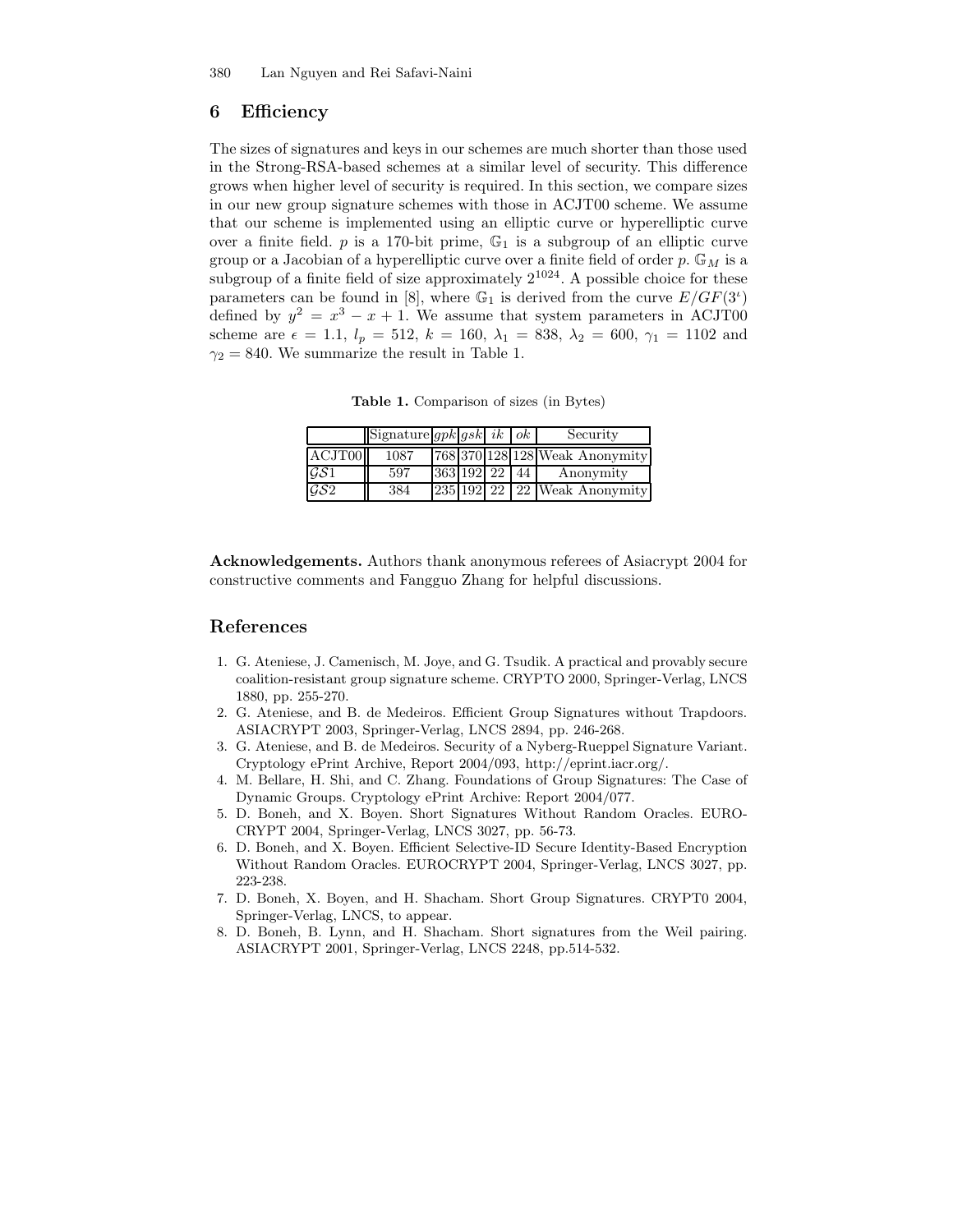## 6 Efficiency

The sizes of signatures and keys in our schemes are much shorter than those used in the Strong-RSA-based schemes at a similar level of security. This difference grows when higher level of security is required. In this section, we compare sizes in our new group signature schemes with those in ACJT00 scheme. We assume that our scheme is implemented using an elliptic curve or hyperelliptic curve over a finite field. p is a 170-bit prime,  $\mathbb{G}_1$  is a subgroup of an elliptic curve group or a Jacobian of a hyperelliptic curve over a finite field of order  $p. \mathbb{G}_M$  is a subgroup of a finite field of size approximately  $2^{1024}$ . A possible choice for these parameters can be found in [8], where  $\mathbb{G}_1$  is derived from the curve  $E/GF(3^i)$ defined by  $y^2 = x^3 - x + 1$ . We assume that system parameters in ACJT00 scheme are  $\epsilon = 1.1$ ,  $l_p = 512$ ,  $k = 160$ ,  $\lambda_1 = 838$ ,  $\lambda_2 = 600$ ,  $\gamma_1 = 1102$  and  $\gamma_2 = 840$ . We summarize the result in Table 1.

Table 1. Comparison of sizes (in Bytes)

|                                                                      | $\sum_{k=1}^{\infty}$ Signature $\int g p k  g s k  i k \cdot  g k $ |               |  | Security                       |
|----------------------------------------------------------------------|----------------------------------------------------------------------|---------------|--|--------------------------------|
| ACJT00                                                               | 1087                                                                 |               |  | 768 370 128 128 Weak Anonymity |
| $\mathcal{G}S1$                                                      | 597                                                                  | 363 192 22 44 |  | Anonymity                      |
| $\overline{\mathcal{G}}\overline{\mathcal{S}}\overline{\mathcal{S}}$ | 384                                                                  |               |  | 235 192 22 22 Weak Anonymity   |

Acknowledgements. Authors thank anonymous referees of Asiacrypt 2004 for constructive comments and Fangguo Zhang for helpful discussions.

## References

- 1. G. Ateniese, J. Camenisch, M. Joye, and G. Tsudik. A practical and provably secure coalition-resistant group signature scheme. CRYPTO 2000, Springer-Verlag, LNCS 1880, pp. 255-270.
- 2. G. Ateniese, and B. de Medeiros. Efficient Group Signatures without Trapdoors. ASIACRYPT 2003, Springer-Verlag, LNCS 2894, pp. 246-268.
- 3. G. Ateniese, and B. de Medeiros. Security of a Nyberg-Rueppel Signature Variant. Cryptology ePrint Archive, Report 2004/093, http://eprint.iacr.org/.
- 4. M. Bellare, H. Shi, and C. Zhang. Foundations of Group Signatures: The Case of Dynamic Groups. Cryptology ePrint Archive: Report 2004/077.
- 5. D. Boneh, and X. Boyen. Short Signatures Without Random Oracles. EURO-CRYPT 2004, Springer-Verlag, LNCS 3027, pp. 56-73.
- 6. D. Boneh, and X. Boyen. Efficient Selective-ID Secure Identity-Based Encryption Without Random Oracles. EUROCRYPT 2004, Springer-Verlag, LNCS 3027, pp. 223-238.
- 7. D. Boneh, X. Boyen, and H. Shacham. Short Group Signatures. CRYPT0 2004, Springer-Verlag, LNCS, to appear.
- 8. D. Boneh, B. Lynn, and H. Shacham. Short signatures from the Weil pairing. ASIACRYPT 2001, Springer-Verlag, LNCS 2248, pp.514-532.